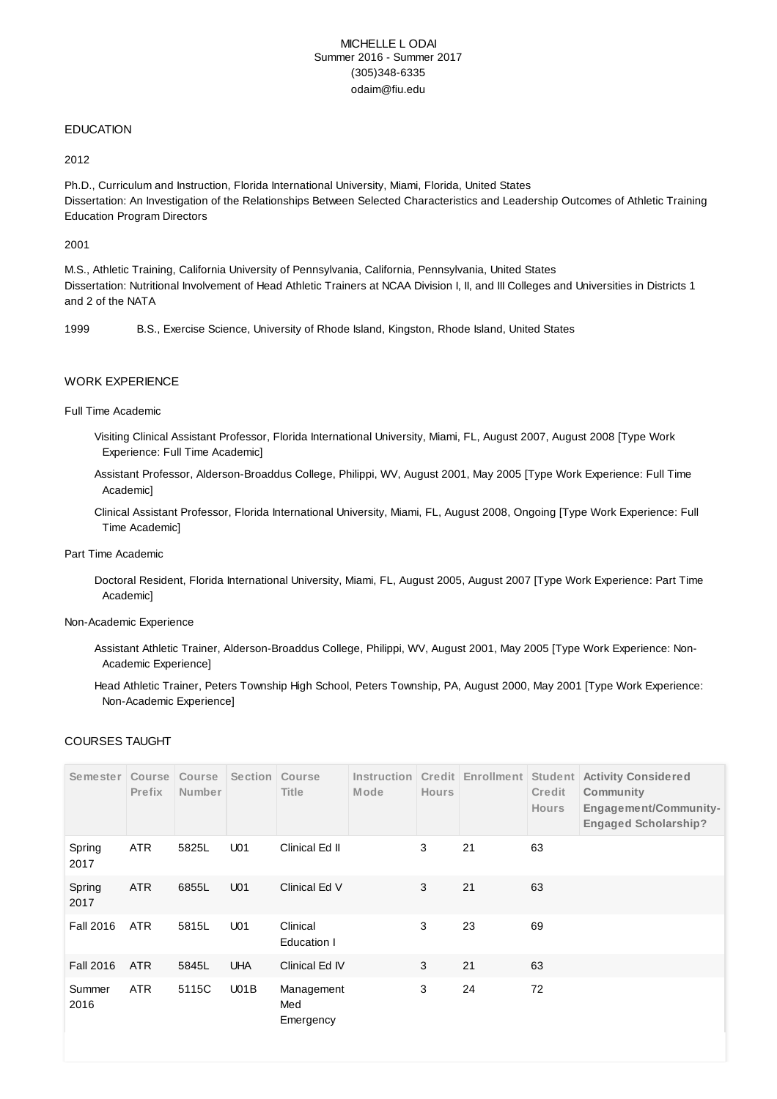# MICHELLE L ODAI Summer 2016 - Summer 2017 (305)348-6335 odaim@fiu.edu

## EDUCATION

#### 2012

Ph.D., Curriculum and Instruction, Florida International University, Miami, Florida, United States Dissertation: An Investigation of the Relationships Between Selected Characteristics and Leadership Outcomes of Athletic Training Education Program Directors

#### 2001

M.S., Athletic Training, California University of Pennsylvania, California, Pennsylvania, United States Dissertation: Nutritional Involvement of Head Athletic Trainers at NCAA Division I, II, and III Colleges and Universities in Districts 1 and 2 of the NATA

1999 B.S., Exercise Science, University of Rhode Island, Kingston, Rhode Island, United States

## WORK EXPERIENCE

#### Full Time Academic

- Visiting Clinical Assistant Professor, Florida International University, Miami, FL, August 2007, August 2008 [Type Work Experience: Full Time Academic]
- Assistant Professor, Alderson-Broaddus College, Philippi, WV, August 2001, May 2005 [Type Work Experience: Full Time Academic]
- Clinical Assistant Professor, Florida International University, Miami, FL, August 2008, Ongoing [Type Work Experience: Full Time Academic]

### Part Time Academic

Doctoral Resident, Florida International University, Miami, FL, August 2005, August 2007 [Type Work Experience: Part Time Academic]

#### Non-Academic Experience

- Assistant Athletic Trainer, Alderson-Broaddus College, Philippi, WV, August 2001, May 2005 [Type Work Experience: Non-Academic Experience]
- Head Athletic Trainer, Peters Township High School, Peters Township, PA, August 2000, May 2001 [Type Work Experience: Non-Academic Experience]

## COURSES TAUGHT

| Semester         | Course<br>Prefix | Course<br>Number | Section         | Course<br><b>Title</b>         | Instruction<br>Mode | <b>Hours</b> | Credit Enrollment | Student<br>Credit<br><b>Hours</b> | <b>Activity Considered</b><br>Community<br>Engagement/Community-<br><b>Engaged Scholarship?</b> |
|------------------|------------------|------------------|-----------------|--------------------------------|---------------------|--------------|-------------------|-----------------------------------|-------------------------------------------------------------------------------------------------|
| Spring<br>2017   | <b>ATR</b>       | 5825L            | U <sub>01</sub> | Clinical Ed II                 |                     | 3            | 21                | 63                                |                                                                                                 |
| Spring<br>2017   | <b>ATR</b>       | 6855L            | U <sub>01</sub> | Clinical Ed V                  |                     | 3            | 21                | 63                                |                                                                                                 |
| <b>Fall 2016</b> | <b>ATR</b>       | 5815L            | U <sub>01</sub> | Clinical<br>Education I        |                     | 3            | 23                | 69                                |                                                                                                 |
| <b>Fall 2016</b> | <b>ATR</b>       | 5845L            | <b>UHA</b>      | Clinical Ed IV                 |                     | 3            | 21                | 63                                |                                                                                                 |
| Summer<br>2016   | <b>ATR</b>       | 5115C            | U01B            | Management<br>Med<br>Emergency |                     | 3            | 24                | 72                                |                                                                                                 |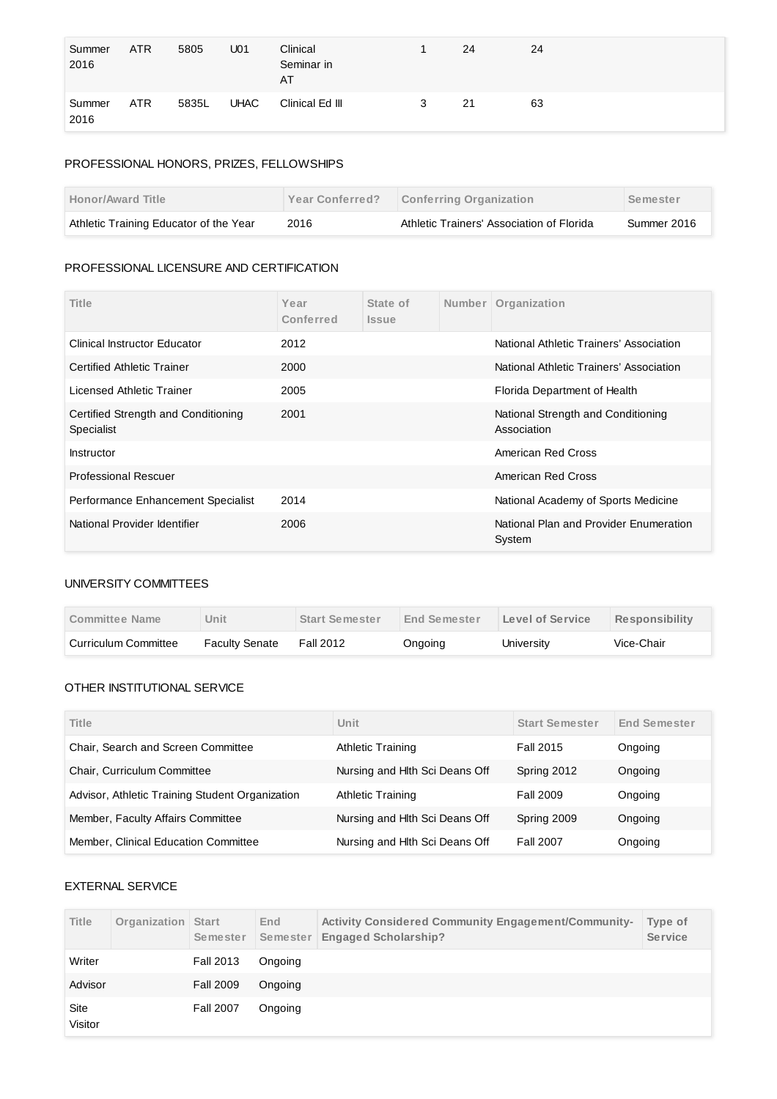| Summer<br>2016 | <b>ATR</b> | 5805  | U <sub>01</sub> | Clinical<br>Seminar in<br>AT |   | 24 | 24 |
|----------------|------------|-------|-----------------|------------------------------|---|----|----|
| Summer<br>2016 | <b>ATR</b> | 5835L | <b>UHAC</b>     | Clinical Ed III              | 3 | 21 | 63 |

# PROFESSIONAL HONORS, PRIZES, FELLOWSHIPS

| <b>Honor/Award Title</b>               | <b>Year Conferred?</b> | <b>Conferring Organization</b>            | Semester    |
|----------------------------------------|------------------------|-------------------------------------------|-------------|
| Athletic Training Educator of the Year | 2016                   | Athletic Trainers' Association of Florida | Summer 2016 |

# PROFESSIONAL LICENSURE AND CERTIFICATION

| Title                                             | Year<br>Conferred | State of<br><i><b>Issue</b></i> | Number | Organization                                      |
|---------------------------------------------------|-------------------|---------------------------------|--------|---------------------------------------------------|
| <b>Clinical Instructor Educator</b>               | 2012              |                                 |        | National Athletic Trainers' Association           |
| <b>Certified Athletic Trainer</b>                 | 2000              |                                 |        | National Athletic Trainers' Association           |
| Licensed Athletic Trainer                         | 2005              |                                 |        | Florida Department of Health                      |
| Certified Strength and Conditioning<br>Specialist | 2001              |                                 |        | National Strength and Conditioning<br>Association |
| Instructor                                        |                   |                                 |        | American Red Cross                                |
| <b>Professional Rescuer</b>                       |                   |                                 |        | American Red Cross                                |
| Performance Enhancement Specialist                | 2014              |                                 |        | National Academy of Sports Medicine               |
| National Provider Identifier                      | 2006              |                                 |        | National Plan and Provider Enumeration<br>System  |

# UNIVERSITY COMMITTEES

| Committee Name       | Jnit                  | <b>Start Semester</b> | End Semester | Level of Service | <b>Responsibility</b> |
|----------------------|-----------------------|-----------------------|--------------|------------------|-----------------------|
| Curriculum Committee | <b>Faculty Senate</b> | Fall 2012             | Ongoing      | Universitv       | Vice-Chair            |

# OTHER INSTITUTIONAL SERVICE

| Title                                           | Unit                           | <b>Start Semester</b> | <b>End Semester</b> |
|-------------------------------------------------|--------------------------------|-----------------------|---------------------|
| Chair, Search and Screen Committee              | <b>Athletic Training</b>       | Fall 2015             | Ongoing             |
| Chair, Curriculum Committee                     | Nursing and Hlth Sci Deans Off | Spring 2012           | Ongoing             |
| Advisor, Athletic Training Student Organization | <b>Athletic Training</b>       | Fall 2009             | Ongoing             |
| Member, Faculty Affairs Committee               | Nursing and Hlth Sci Deans Off | Spring 2009           | Ongoing             |
| Member, Clinical Education Committee            | Nursing and Hith Sci Deans Off | <b>Fall 2007</b>      | Ongoing             |

# EXTERNAL SERVICE

| <b>Title</b>           | Organization | <b>Start</b><br>Semester | End<br>Semester | <b>Activity Considered Community Engagement/Community-</b><br><b>Engaged Scholarship?</b> | Type of<br><b>Service</b> |
|------------------------|--------------|--------------------------|-----------------|-------------------------------------------------------------------------------------------|---------------------------|
| Writer                 |              | <b>Fall 2013</b>         | Ongoing         |                                                                                           |                           |
| Advisor                |              | <b>Fall 2009</b>         | Ongoing         |                                                                                           |                           |
| <b>Site</b><br>Visitor |              | <b>Fall 2007</b>         | Ongoing         |                                                                                           |                           |